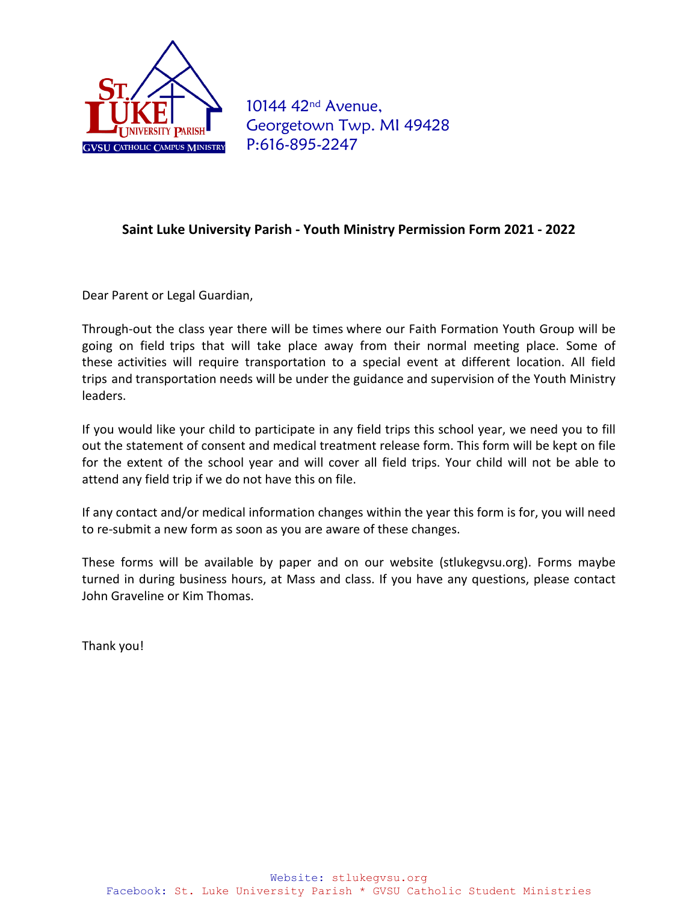

10144 42<sup>nd</sup> Avenue, Georgetown Twp. MI 49428 P:616-895-2247

#### **Saint Luke University Parish - Youth Ministry Permission Form 2021 - 2022**

Dear Parent or Legal Guardian,

Through-out the class year there will be times where our Faith Formation Youth Group will be going on field trips that will take place away from their normal meeting place. Some of these activities will require transportation to a special event at different location. All field trips and transportation needs will be under the guidance and supervision of the Youth Ministry leaders.

If you would like your child to participate in any field trips this school year, we need you to fill out the statement of consent and medical treatment release form. This form will be kept on file for the extent of the school year and will cover all field trips. Your child will not be able to attend any field trip if we do not have this on file.

If any contact and/or medical information changes within the year this form is for, you will need to re-submit a new form as soon as you are aware of these changes.

These forms will be available by paper and on our website (stlukegvsu.org). Forms maybe turned in during business hours, at Mass and class. If you have any questions, please contact John Graveline or Kim Thomas.

Thank you!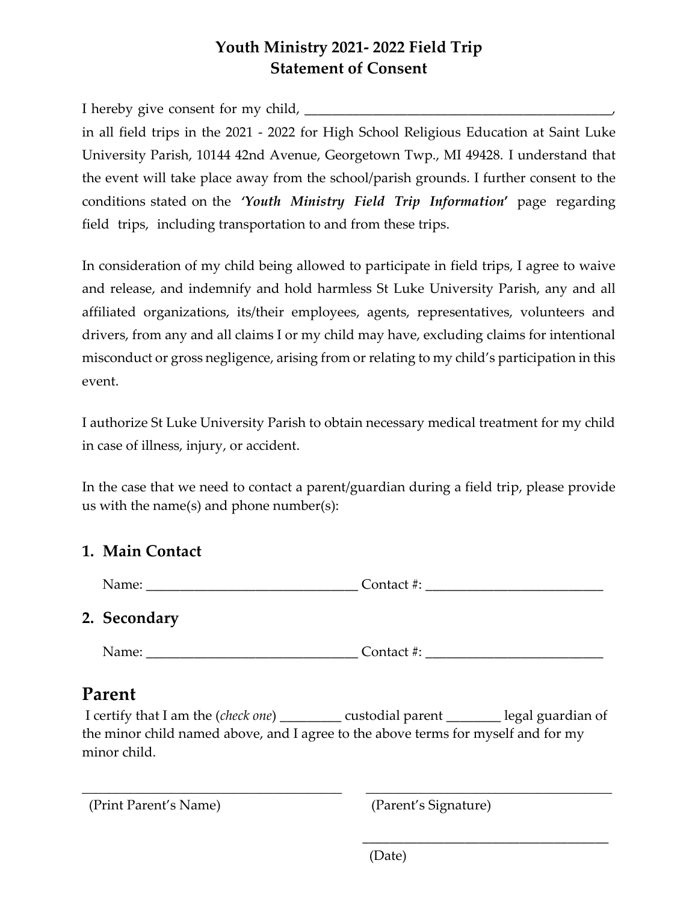# **Youth Ministry 2021- 2022 Field Trip Statement of Consent**

I hereby give consent for my child, in all field trips in the 2021 - 2022 for High School Religious Education at Saint Luke University Parish, 10144 42nd Avenue, Georgetown Twp., MI 49428. I understand that the event will take place away from the school/parish grounds. I further consent to the conditions stated on the *'Youth Ministry Field Trip Information***'** page regarding field trips, including transportation to and from these trips.

In consideration of my child being allowed to participate in field trips, I agree to waive and release, and indemnify and hold harmless St Luke University Parish, any and all affiliated organizations, its/their employees, agents, representatives, volunteers and drivers, from any and all claims I or my child may have, excluding claims for intentional misconduct or gross negligence, arising from or relating to my child's participation in this event.

I authorize St Luke University Parish to obtain necessary medical treatment for my child in case of illness, injury, or accident.

In the case that we need to contact a parent/guardian during a field trip, please provide us with the name(s) and phone number(s):

#### **1. Main Contact**

## **2. Secondary**

Name: Contact #:

# **Parent**

I certify that I am the (*check one*) \_\_\_\_\_\_\_\_\_ custodial parent \_\_\_\_\_\_\_\_ legal guardian of the minor child named above, and I agree to the above terms for myself and for my minor child.

\_\_\_\_\_\_\_\_\_\_\_\_\_\_\_\_\_\_\_\_\_\_\_\_\_\_\_\_\_\_\_\_\_\_\_\_\_\_ \_\_\_\_\_\_\_\_\_\_\_\_\_\_\_\_\_\_\_\_\_\_\_\_\_\_\_\_\_\_\_\_\_\_\_\_

(Print Parent's Name) (Parent's Signature)

\_\_\_\_\_\_\_\_\_\_\_\_\_\_\_\_\_\_\_\_\_\_\_\_\_\_\_\_\_\_\_\_\_\_\_\_